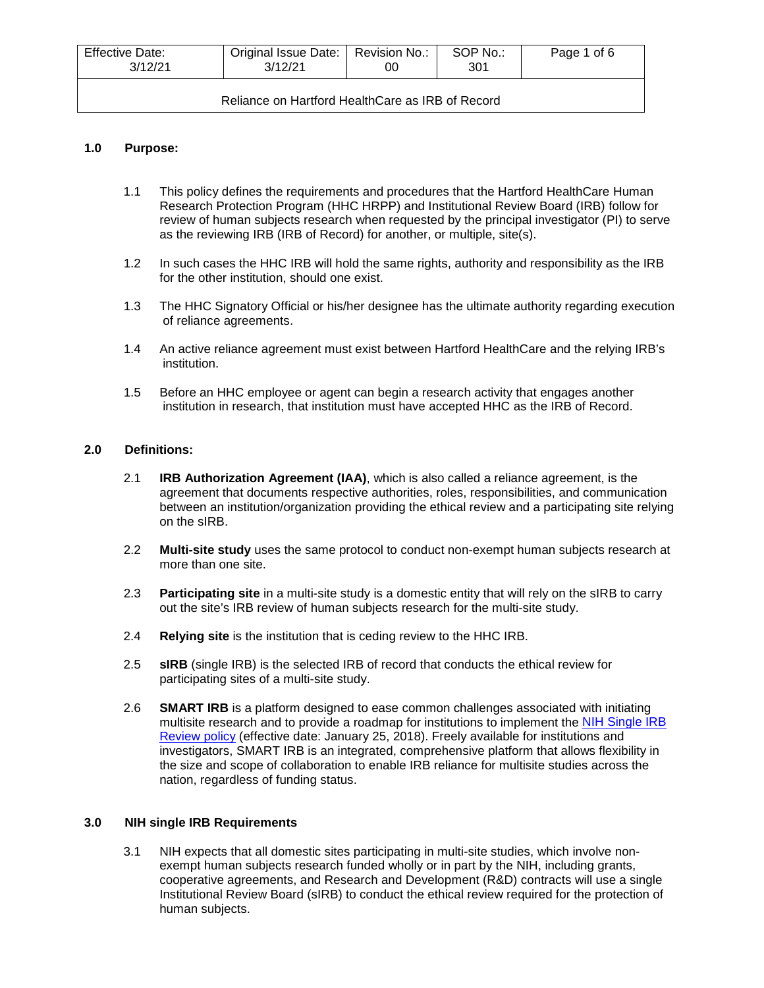| Effective Date:<br>3/12/21                       | Original Issue Date:   Revision No.:<br>3/12/21 | OO | SOP No.:<br>301 | Page 1 of 6 |
|--------------------------------------------------|-------------------------------------------------|----|-----------------|-------------|
| Reliance on Hartford HealthCare as IRB of Record |                                                 |    |                 |             |

# **1.0 Purpose:**

- 1.1 This policy defines the requirements and procedures that the Hartford HealthCare Human Research Protection Program (HHC HRPP) and Institutional Review Board (IRB) follow for review of human subjects research when requested by the principal investigator (PI) to serve as the reviewing IRB (IRB of Record) for another, or multiple, site(s).
- 1.2 In such cases the HHC IRB will hold the same rights, authority and responsibility as the IRB for the other institution, should one exist.
- 1.3 The HHC Signatory Official or his/her designee has the ultimate authority regarding execution of reliance agreements.
- 1.4 An active reliance agreement must exist between Hartford HealthCare and the relying IRB's institution.
- 1.5 Before an HHC employee or agent can begin a research activity that engages another institution in research, that institution must have accepted HHC as the IRB of Record.

### **2.0 Definitions:**

- 2.1 **IRB Authorization Agreement (IAA)**, which is also called a reliance agreement, is the agreement that documents respective authorities, roles, responsibilities, and communication between an institution/organization providing the ethical review and a participating site relying on the sIRB.
- 2.2 **Multi-site study** uses the same protocol to conduct non-exempt human subjects research at more than one site.
- 2.3 **Participating site** in a multi-site study is a domestic entity that will rely on the sIRB to carry out the site's IRB review of human subjects research for the multi-site study.
- 2.4 **Relying site** is the institution that is ceding review to the HHC IRB.
- 2.5 **sIRB** (single IRB) is the selected IRB of record that conducts the ethical review for participating sites of a multi-site study.
- 2.6 **SMART IRB** is a platform designed to ease common challenges associated with initiating multisite research and to provide a roadmap for institutions to implement the [NIH Single IRB](http://grants.nih.gov/grants/guide/notice-files/NOT-OD-16-094.html)  [Review policy](http://grants.nih.gov/grants/guide/notice-files/NOT-OD-16-094.html) (effective date: January 25, 2018). Freely available for institutions and investigators, SMART IRB is an integrated, comprehensive platform that allows flexibility in the size and scope of collaboration to enable IRB reliance for multisite studies across the nation, regardless of funding status.

# **3.0 NIH single IRB Requirements**

3.1 NIH expects that all domestic sites participating in multi-site studies, which involve nonexempt human subjects research funded wholly or in part by the NIH, including grants, cooperative agreements, and Research and Development (R&D) contracts will use a single Institutional Review Board (sIRB) to conduct the ethical review required for the protection of human subjects.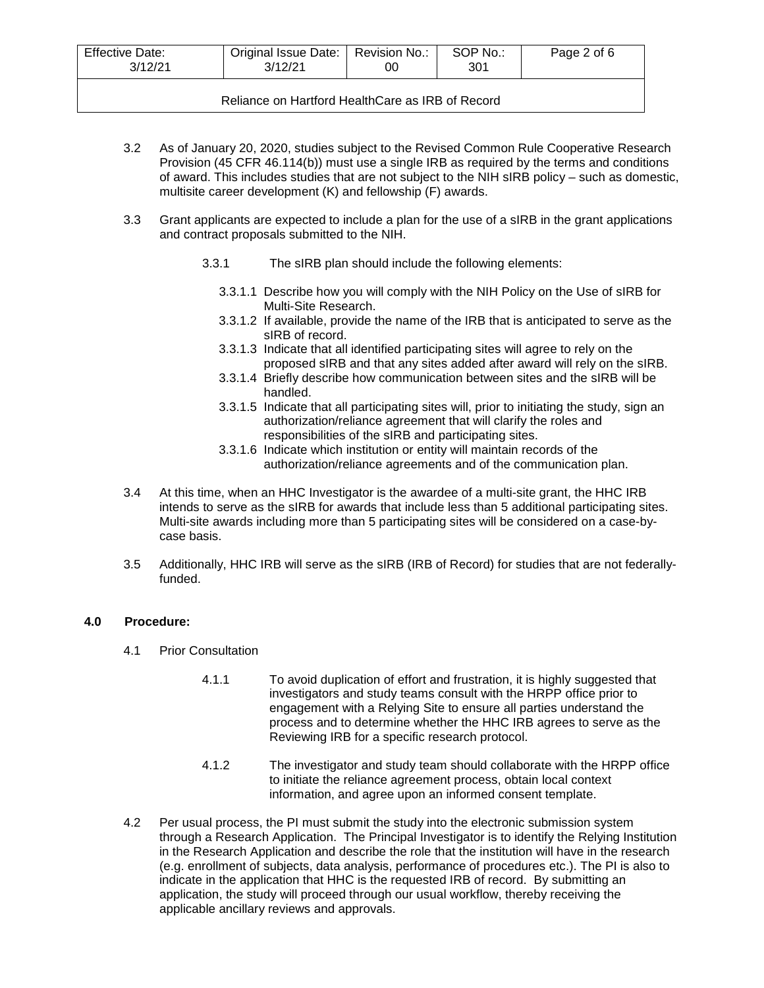| <b>Effective Date:</b><br>3/12/21                | Original Issue Date:   Revision No.:<br>3/12/21 | 00 | SOP No.:<br>301 | Page 2 of 6 |  |
|--------------------------------------------------|-------------------------------------------------|----|-----------------|-------------|--|
| Reliance on Hartford HealthCare as IRB of Record |                                                 |    |                 |             |  |

- 3.2 As of January 20, 2020, studies subject to the Revised Common Rule Cooperative Research Provision (45 CFR 46.114(b)) must use a single IRB as required by the terms and conditions of award. This includes studies that are not subject to the NIH sIRB policy – such as domestic, multisite career development (K) and fellowship (F) awards.
- 3.3 Grant applicants are expected to include a plan for the use of a sIRB in the grant applications and contract proposals submitted to the NIH.
	- 3.3.1 The sIRB plan should include the following elements:
		- 3.3.1.1 Describe how you will comply with the NIH Policy on the Use of sIRB for Multi-Site Research.
		- 3.3.1.2 If available, provide the name of the IRB that is anticipated to serve as the sIRB of record.
		- 3.3.1.3 Indicate that all identified participating sites will agree to rely on the proposed sIRB and that any sites added after award will rely on the sIRB.
		- 3.3.1.4 Briefly describe how communication between sites and the sIRB will be handled.
		- 3.3.1.5 Indicate that all participating sites will, prior to initiating the study, sign an authorization/reliance agreement that will clarify the roles and responsibilities of the sIRB and participating sites.
		- 3.3.1.6 Indicate which institution or entity will maintain records of the authorization/reliance agreements and of the communication plan.
- 3.4 At this time, when an HHC Investigator is the awardee of a multi-site grant, the HHC IRB intends to serve as the sIRB for awards that include less than 5 additional participating sites. Multi-site awards including more than 5 participating sites will be considered on a case-bycase basis.
- 3.5 Additionally, HHC IRB will serve as the sIRB (IRB of Record) for studies that are not federallyfunded.

# **4.0 Procedure:**

- 4.1 Prior Consultation
	- 4.1.1 To avoid duplication of effort and frustration, it is highly suggested that investigators and study teams consult with the HRPP office prior to engagement with a Relying Site to ensure all parties understand the process and to determine whether the HHC IRB agrees to serve as the Reviewing IRB for a specific research protocol.
	- 4.1.2 The investigator and study team should collaborate with the HRPP office to initiate the reliance agreement process, obtain local context information, and agree upon an informed consent template.
- 4.2 Per usual process, the PI must submit the study into the electronic submission system through a Research Application. The Principal Investigator is to identify the Relying Institution in the Research Application and describe the role that the institution will have in the research (e.g. enrollment of subjects, data analysis, performance of procedures etc.). The PI is also to indicate in the application that HHC is the requested IRB of record. By submitting an application, the study will proceed through our usual workflow, thereby receiving the applicable ancillary reviews and approvals.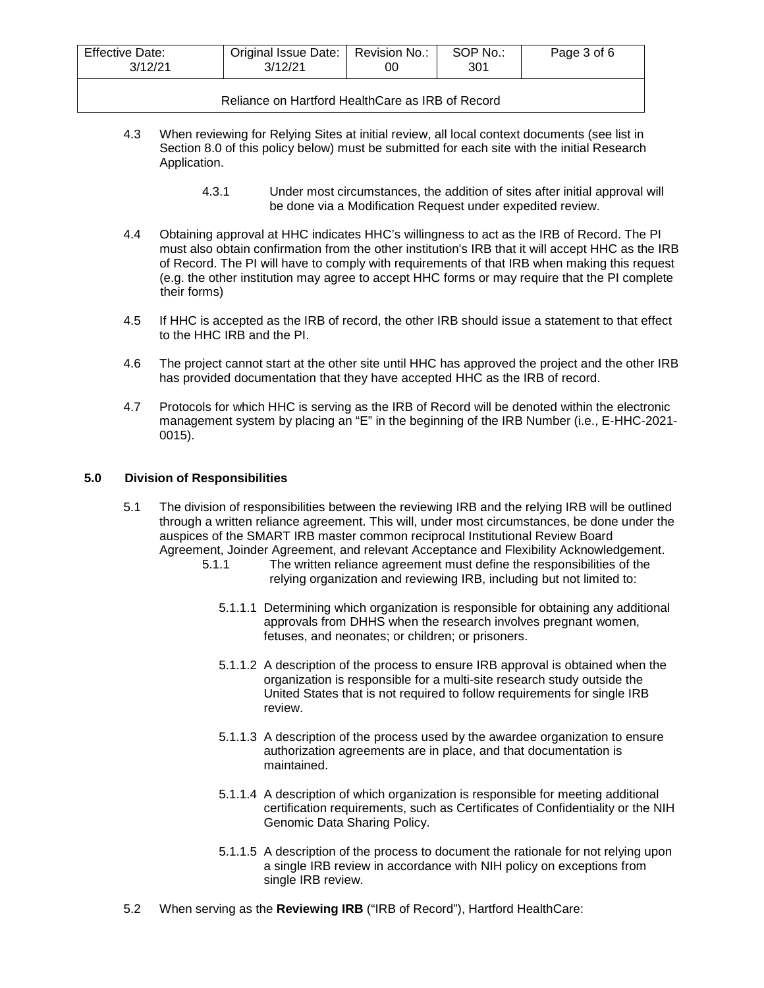| <b>Effective Date:</b> | Original Issue Date: | Revision No.: | SOP No.: | Page 3 of 6 |
|------------------------|----------------------|---------------|----------|-------------|
| 3/12/21                | 3/12/21              | 00            | 301      |             |
|                        |                      |               |          |             |

Reliance on Hartford HealthCare as IRB of Record

- 4.3 When reviewing for Relying Sites at initial review, all local context documents (see list in Section 8.0 of this policy below) must be submitted for each site with the initial Research Application.
	- 4.3.1 Under most circumstances, the addition of sites after initial approval will be done via a Modification Request under expedited review.
- 4.4 Obtaining approval at HHC indicates HHC's willingness to act as the IRB of Record. The PI must also obtain confirmation from the other institution's IRB that it will accept HHC as the IRB of Record. The PI will have to comply with requirements of that IRB when making this request (e.g. the other institution may agree to accept HHC forms or may require that the PI complete their forms)
- 4.5 If HHC is accepted as the IRB of record, the other IRB should issue a statement to that effect to the HHC IRB and the PI.
- 4.6 The project cannot start at the other site until HHC has approved the project and the other IRB has provided documentation that they have accepted HHC as the IRB of record.
- 4.7 Protocols for which HHC is serving as the IRB of Record will be denoted within the electronic management system by placing an "E" in the beginning of the IRB Number (i.e., E-HHC-2021- 0015).

## **5.0 Division of Responsibilities**

- 5.1 The division of responsibilities between the reviewing IRB and the relying IRB will be outlined through a written reliance agreement. This will, under most circumstances, be done under the auspices of the SMART IRB master common reciprocal Institutional Review Board Agreement, Joinder Agreement, and relevant Acceptance and Flexibility Acknowledgement.
	- 5.1.1 The written reliance agreement must define the responsibilities of the relying organization and reviewing IRB, including but not limited to:
		- 5.1.1.1 Determining which organization is responsible for obtaining any additional approvals from DHHS when the research involves pregnant women, fetuses, and neonates; or children; or prisoners.
		- 5.1.1.2 A description of the process to ensure IRB approval is obtained when the organization is responsible for a multi-site research study outside the United States that is not required to follow requirements for single IRB review.
		- 5.1.1.3 A description of the process used by the awardee organization to ensure authorization agreements are in place, and that documentation is maintained.
		- 5.1.1.4 A description of which organization is responsible for meeting additional certification requirements, such as Certificates of Confidentiality or the NIH Genomic Data Sharing Policy.
		- 5.1.1.5 A description of the process to document the rationale for not relying upon a single IRB review in accordance with NIH policy on exceptions from single IRB review.
- 5.2 When serving as the **Reviewing IRB** ("IRB of Record"), Hartford HealthCare: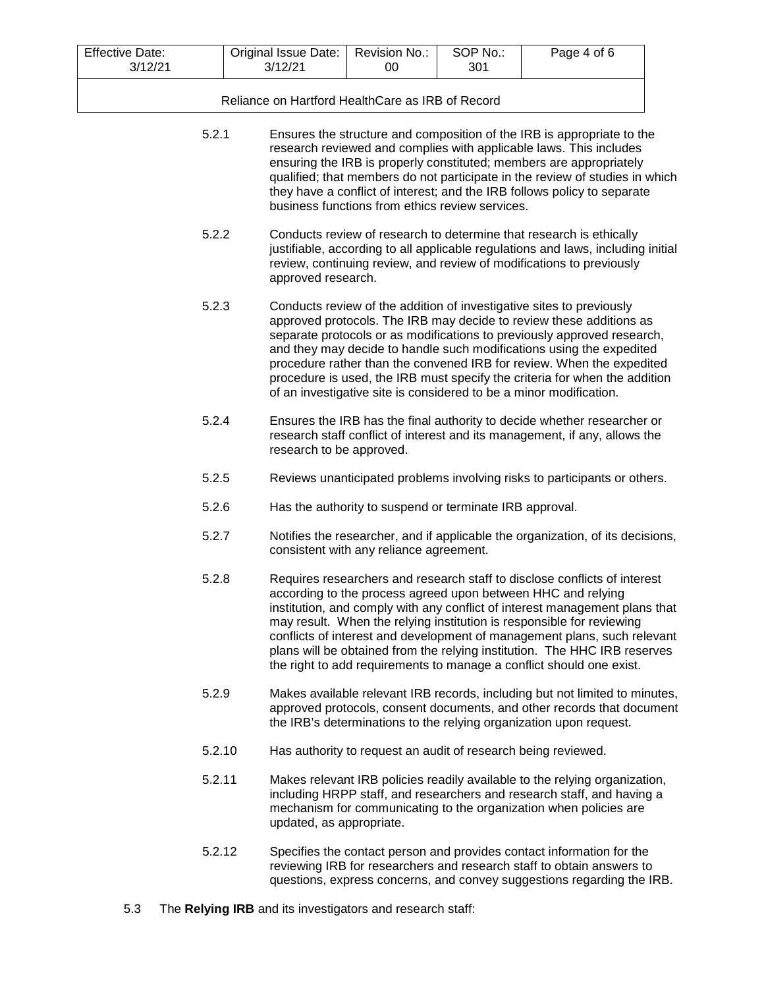| <b>Effective Date:</b><br>3/12/21 | Original Issue Date:   Revision No.:<br>3/12/21 | 00 | SOP No.:<br>301 | Page 4 of 6 |
|-----------------------------------|-------------------------------------------------|----|-----------------|-------------|
|                                   |                                                 |    |                 |             |

Reliance on Hartford HealthCare as IRB of Record

| 5.2.1  | Ensures the structure and composition of the IRB is appropriate to the<br>research reviewed and complies with applicable laws. This includes<br>ensuring the IRB is properly constituted; members are appropriately<br>qualified; that members do not participate in the review of studies in which<br>they have a conflict of interest; and the IRB follows policy to separate<br>business functions from ethics review services.                                                                                                 |
|--------|------------------------------------------------------------------------------------------------------------------------------------------------------------------------------------------------------------------------------------------------------------------------------------------------------------------------------------------------------------------------------------------------------------------------------------------------------------------------------------------------------------------------------------|
| 5.2.2  | Conducts review of research to determine that research is ethically<br>justifiable, according to all applicable regulations and laws, including initial<br>review, continuing review, and review of modifications to previously<br>approved research.                                                                                                                                                                                                                                                                              |
| 5.2.3  | Conducts review of the addition of investigative sites to previously<br>approved protocols. The IRB may decide to review these additions as<br>separate protocols or as modifications to previously approved research,<br>and they may decide to handle such modifications using the expedited<br>procedure rather than the convened IRB for review. When the expedited<br>procedure is used, the IRB must specify the criteria for when the addition<br>of an investigative site is considered to be a minor modification.        |
| 5.2.4  | Ensures the IRB has the final authority to decide whether researcher or<br>research staff conflict of interest and its management, if any, allows the<br>research to be approved.                                                                                                                                                                                                                                                                                                                                                  |
| 5.2.5  | Reviews unanticipated problems involving risks to participants or others.                                                                                                                                                                                                                                                                                                                                                                                                                                                          |
| 5.2.6  | Has the authority to suspend or terminate IRB approval.                                                                                                                                                                                                                                                                                                                                                                                                                                                                            |
| 5.2.7  | Notifies the researcher, and if applicable the organization, of its decisions,<br>consistent with any reliance agreement.                                                                                                                                                                                                                                                                                                                                                                                                          |
| 5.2.8  | Requires researchers and research staff to disclose conflicts of interest<br>according to the process agreed upon between HHC and relying<br>institution, and comply with any conflict of interest management plans that<br>may result. When the relying institution is responsible for reviewing<br>conflicts of interest and development of management plans, such relevant<br>plans will be obtained from the relying institution. The HHC IRB reserves<br>the right to add requirements to manage a conflict should one exist. |
| 5.2.9  | Makes available relevant IRB records, including but not limited to minutes,<br>approved protocols, consent documents, and other records that document<br>the IRB's determinations to the relying organization upon request.                                                                                                                                                                                                                                                                                                        |
| 5.2.10 | Has authority to request an audit of research being reviewed.                                                                                                                                                                                                                                                                                                                                                                                                                                                                      |
| 5.2.11 | Makes relevant IRB policies readily available to the relying organization,<br>including HRPP staff, and researchers and research staff, and having a<br>mechanism for communicating to the organization when policies are<br>updated, as appropriate.                                                                                                                                                                                                                                                                              |

- 5.2.12 Specifies the contact person and provides contact information for the reviewing IRB for researchers and research staff to obtain answers to questions, express concerns, and convey suggestions regarding the IRB.
- 5.3 The **Relying IRB** and its investigators and research staff: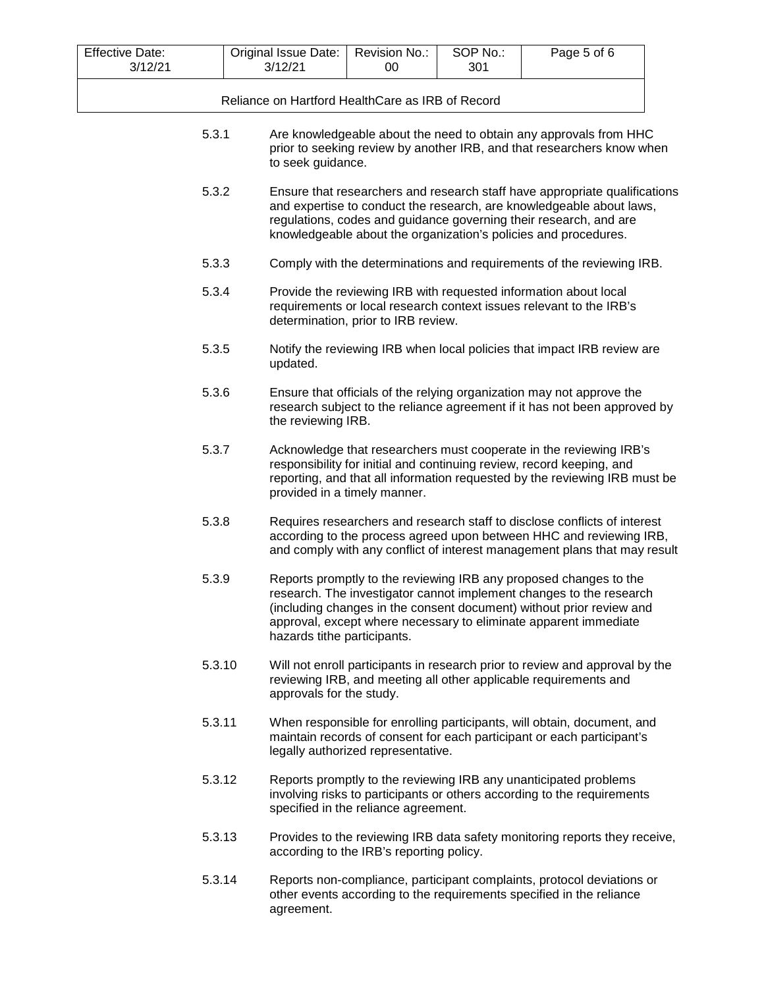| <b>Effective Date:</b><br>3/12/21                                                                                                                                                       | Original Issue Date:<br>3/12/21                                                              | Revision No.:<br>00                                                   | SOP No.:<br>301 | Page 5 of 6                                                                                                                                                                                                                                                                                |  |
|-----------------------------------------------------------------------------------------------------------------------------------------------------------------------------------------|----------------------------------------------------------------------------------------------|-----------------------------------------------------------------------|-----------------|--------------------------------------------------------------------------------------------------------------------------------------------------------------------------------------------------------------------------------------------------------------------------------------------|--|
| Reliance on Hartford HealthCare as IRB of Record                                                                                                                                        |                                                                                              |                                                                       |                 |                                                                                                                                                                                                                                                                                            |  |
| 5.3.1<br>Are knowledgeable about the need to obtain any approvals from HHC<br>prior to seeking review by another IRB, and that researchers know when<br>to seek guidance.               |                                                                                              |                                                                       |                 |                                                                                                                                                                                                                                                                                            |  |
| 5.3.2                                                                                                                                                                                   |                                                                                              |                                                                       |                 | Ensure that researchers and research staff have appropriate qualifications<br>and expertise to conduct the research, are knowledgeable about laws,<br>regulations, codes and guidance governing their research, and are<br>knowledgeable about the organization's policies and procedures. |  |
| 5.3.3                                                                                                                                                                                   |                                                                                              | Comply with the determinations and requirements of the reviewing IRB. |                 |                                                                                                                                                                                                                                                                                            |  |
| 5.3.4<br>Provide the reviewing IRB with requested information about local<br>requirements or local research context issues relevant to the IRB's<br>determination, prior to IRB review. |                                                                                              |                                                                       |                 |                                                                                                                                                                                                                                                                                            |  |
|                                                                                                                                                                                         | 5.3.5<br>Notify the reviewing IRB when local policies that impact IRB review are<br>updated. |                                                                       |                 |                                                                                                                                                                                                                                                                                            |  |
| 5.3.6                                                                                                                                                                                   | the reviewing IRB.                                                                           |                                                                       |                 | Ensure that officials of the relying organization may not approve the<br>research subject to the reliance agreement if it has not been approved by                                                                                                                                         |  |
| 5.3.7                                                                                                                                                                                   |                                                                                              | provided in a timely manner.                                          |                 | Acknowledge that researchers must cooperate in the reviewing IRB's<br>responsibility for initial and continuing review, record keeping, and<br>reporting, and that all information requested by the reviewing IRB must be                                                                  |  |
| 5.3.8                                                                                                                                                                                   |                                                                                              |                                                                       |                 | Requires researchers and research staff to disclose conflicts of interest<br>according to the process agreed upon between HHC and reviewing IRB,<br>and comply with any conflict of interest management plans that may result                                                              |  |
| 5.3.9                                                                                                                                                                                   | hazards tithe participants.                                                                  |                                                                       |                 | Reports promptly to the reviewing IRB any proposed changes to the<br>research. The investigator cannot implement changes to the research<br>(including changes in the consent document) without prior review and<br>approval, except where necessary to eliminate apparent immediate       |  |
|                                                                                                                                                                                         | 5.3.10<br>approvals for the study.                                                           |                                                                       |                 | Will not enroll participants in research prior to review and approval by the<br>reviewing IRB, and meeting all other applicable requirements and                                                                                                                                           |  |
| 5.3.11                                                                                                                                                                                  |                                                                                              | legally authorized representative.                                    |                 | When responsible for enrolling participants, will obtain, document, and<br>maintain records of consent for each participant or each participant's                                                                                                                                          |  |
|                                                                                                                                                                                         | 5.3.12                                                                                       | specified in the reliance agreement.                                  |                 | Reports promptly to the reviewing IRB any unanticipated problems<br>involving risks to participants or others according to the requirements                                                                                                                                                |  |
|                                                                                                                                                                                         | 5.3.13                                                                                       | according to the IRB's reporting policy.                              |                 | Provides to the reviewing IRB data safety monitoring reports they receive,                                                                                                                                                                                                                 |  |
|                                                                                                                                                                                         | 5.3.14<br>agreement.                                                                         |                                                                       |                 | Reports non-compliance, participant complaints, protocol deviations or<br>other events according to the requirements specified in the reliance                                                                                                                                             |  |